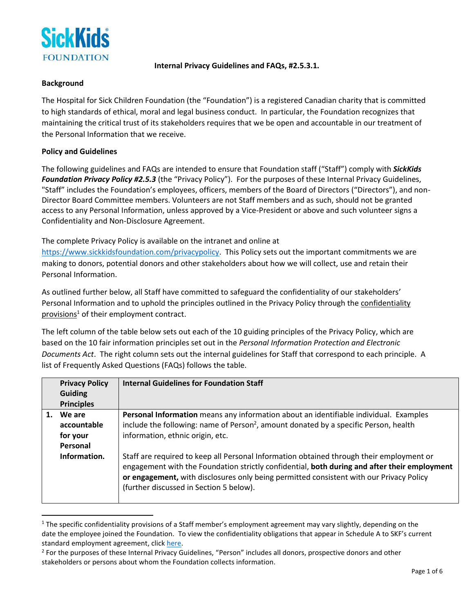

#### **Internal Privacy Guidelines and FAQs, #2.5.3.1.**

### **Background**

The Hospital for Sick Children Foundation (the "Foundation") is a registered Canadian charity that is committed to high standards of ethical, moral and legal business conduct. In particular, the Foundation recognizes that maintaining the critical trust of its stakeholders requires that we be open and accountable in our treatment of the Personal Information that we receive.

## **Policy and Guidelines**

The following guidelines and FAQs are intended to ensure that Foundation staff ("Staff") comply with *SickKids Foundation Privacy Policy #2.5.3* (the "Privacy Policy"). For the purposes of these Internal Privacy Guidelines, "Staff" includes the Foundation's employees, officers, members of the Board of Directors ("Directors"), and non-Director Board Committee members. Volunteers are not Staff members and as such, should not be granted access to any Personal Information, unless approved by a Vice-President or above and such volunteer signs a Confidentiality and Non-Disclosure Agreement.

The complete Privacy Policy is available on the intranet and online at

[https://www.sickkidsfoundation.com/privacypolicy.](https://www.sickkidsfoundation.com/privacypolicy) This Policy sets out the important commitments we are making to donors, potential donors and other stakeholders about how we will collect, use and retain their Personal Information.

As outlined further below, all Staff have committed to safeguard the confidentiality of our stakeholders' Personal Information and to uphold the principles outlined in the Privacy Policy through the confidentiality  $provisions<sup>1</sup>$  of their employment contract.

The left column of the table below sets out each of the 10 guiding principles of the Privacy Policy, which are based on the 10 fair information principles set out in the *Personal Information Protection and Electronic Documents Act*. The right column sets out the internal guidelines for Staff that correspond to each principle. A list of Frequently Asked Questions (FAQs) follows the table.

| <b>Privacy Policy</b><br><b>Guiding</b><br><b>Principles</b>  | <b>Internal Guidelines for Foundation Staff</b>                                                                                                                                                                                                                                                                                                                                                                                                                                                                      |
|---------------------------------------------------------------|----------------------------------------------------------------------------------------------------------------------------------------------------------------------------------------------------------------------------------------------------------------------------------------------------------------------------------------------------------------------------------------------------------------------------------------------------------------------------------------------------------------------|
| We are<br>accountable<br>for your<br>Personal<br>Information. | Personal Information means any information about an identifiable individual. Examples<br>include the following: name of Person <sup>2</sup> , amount donated by a specific Person, health<br>information, ethnic origin, etc.<br>Staff are required to keep all Personal Information obtained through their employment or<br>engagement with the Foundation strictly confidential, both during and after their employment<br>or engagement, with disclosures only being permitted consistent with our Privacy Policy |
|                                                               | (further discussed in Section 5 below).                                                                                                                                                                                                                                                                                                                                                                                                                                                                              |

 $1$  The specific confidentiality provisions of a Staff member's employment agreement may vary slightly, depending on the date the employee joined the Foundation. To view the confidentiality obligations that appear in Schedule A to SKF's current standard employment agreement, click [here.](https://sickkidsfoundation2.sharepoint.com/:w:/r/sites/InfoHUB/_layouts/15/Doc.aspx?sourcedoc=%7B5E33FF8E-A5B3-41E4-8DC7-ADF5D6E5AC41%7D&file=Employee%20Obligations%20re%20Confidentiality%20-%20Schedule%20A%20to%20SKF%20Standard%20Employment%20Agreement.docx&action=default&mobileredirect=true)

<sup>&</sup>lt;sup>2</sup> For the purposes of these Internal Privacy Guidelines, "Person" includes all donors, prospective donors and other stakeholders or persons about whom the Foundation collects information.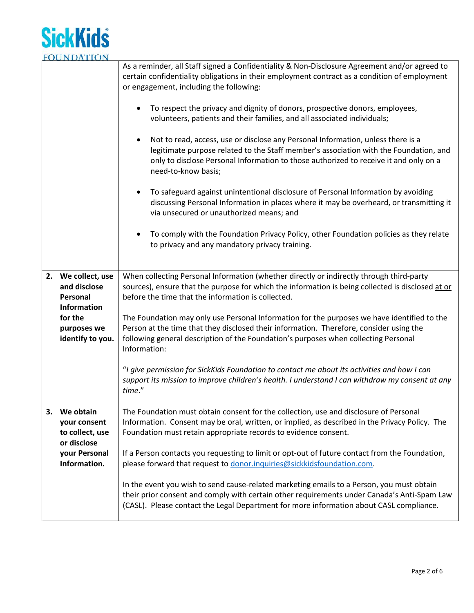

|    |                                                                                                                    | As a reminder, all Staff signed a Confidentiality & Non-Disclosure Agreement and/or agreed to<br>certain confidentiality obligations in their employment contract as a condition of employment<br>or engagement, including the following:<br>To respect the privacy and dignity of donors, prospective donors, employees,<br>$\bullet$<br>volunteers, patients and their families, and all associated individuals;<br>Not to read, access, use or disclose any Personal Information, unless there is a<br>$\bullet$<br>legitimate purpose related to the Staff member's association with the Foundation, and<br>only to disclose Personal Information to those authorized to receive it and only on a<br>need-to-know basis;<br>To safeguard against unintentional disclosure of Personal Information by avoiding<br>$\bullet$<br>discussing Personal Information in places where it may be overheard, or transmitting it<br>via unsecured or unauthorized means; and<br>To comply with the Foundation Privacy Policy, other Foundation policies as they relate<br>$\bullet$<br>to privacy and any mandatory privacy training. |
|----|--------------------------------------------------------------------------------------------------------------------|--------------------------------------------------------------------------------------------------------------------------------------------------------------------------------------------------------------------------------------------------------------------------------------------------------------------------------------------------------------------------------------------------------------------------------------------------------------------------------------------------------------------------------------------------------------------------------------------------------------------------------------------------------------------------------------------------------------------------------------------------------------------------------------------------------------------------------------------------------------------------------------------------------------------------------------------------------------------------------------------------------------------------------------------------------------------------------------------------------------------------------|
|    | 2. We collect, use<br>and disclose<br>Personal<br><b>Information</b><br>for the<br>purposes we<br>identify to you. | When collecting Personal Information (whether directly or indirectly through third-party<br>sources), ensure that the purpose for which the information is being collected is disclosed at or<br>before the time that the information is collected.<br>The Foundation may only use Personal Information for the purposes we have identified to the<br>Person at the time that they disclosed their information. Therefore, consider using the<br>following general description of the Foundation's purposes when collecting Personal<br>Information:<br>"I give permission for SickKids Foundation to contact me about its activities and how I can<br>support its mission to improve children's health. I understand I can withdraw my consent at any<br>time."                                                                                                                                                                                                                                                                                                                                                               |
| 3. | We obtain<br>your consent<br>to collect, use<br>or disclose<br>your Personal<br>Information.                       | The Foundation must obtain consent for the collection, use and disclosure of Personal<br>Information. Consent may be oral, written, or implied, as described in the Privacy Policy. The<br>Foundation must retain appropriate records to evidence consent.<br>If a Person contacts you requesting to limit or opt-out of future contact from the Foundation,<br>please forward that request to donor.inquiries@sickkidsfoundation.com.<br>In the event you wish to send cause-related marketing emails to a Person, you must obtain<br>their prior consent and comply with certain other requirements under Canada's Anti-Spam Law<br>(CASL). Please contact the Legal Department for more information about CASL compliance.                                                                                                                                                                                                                                                                                                                                                                                                  |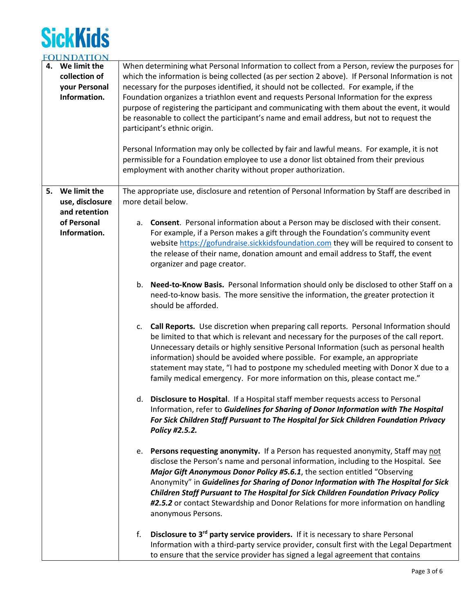# **SickKids FOUNDATION**

| <b>UUINDATION</b> |                                                                                                   |
|-------------------|---------------------------------------------------------------------------------------------------|
| 4. We limit the   | When determining what Personal Information to collect from a Person, review the purposes for      |
| collection of     | which the information is being collected (as per section 2 above). If Personal Information is not |
| your Personal     | necessary for the purposes identified, it should not be collected. For example, if the            |
| Information.      | Foundation organizes a triathlon event and requests Personal Information for the express          |
|                   | purpose of registering the participant and communicating with them about the event, it would      |
|                   | be reasonable to collect the participant's name and email address, but not to request the         |
|                   | participant's ethnic origin.                                                                      |
|                   |                                                                                                   |
|                   | Personal Information may only be collected by fair and lawful means. For example, it is not       |
|                   | permissible for a Foundation employee to use a donor list obtained from their previous            |
|                   | employment with another charity without proper authorization.                                     |
|                   |                                                                                                   |
| 5. We limit the   | The appropriate use, disclosure and retention of Personal Information by Staff are described in   |
| use, disclosure   | more detail below.                                                                                |
| and retention     |                                                                                                   |
| of Personal       | Consent. Personal information about a Person may be disclosed with their consent.<br>a.           |
| Information.      |                                                                                                   |
|                   | For example, if a Person makes a gift through the Foundation's community event                    |
|                   | website https://gofundraise.sickkidsfoundation.com they will be required to consent to            |
|                   | the release of their name, donation amount and email address to Staff, the event                  |
|                   | organizer and page creator.                                                                       |
|                   |                                                                                                   |
|                   | Need-to-Know Basis. Personal Information should only be disclosed to other Staff on a<br>b.       |
|                   | need-to-know basis. The more sensitive the information, the greater protection it                 |
|                   | should be afforded.                                                                               |
|                   | c. Call Reports. Use discretion when preparing call reports. Personal Information should          |
|                   | be limited to that which is relevant and necessary for the purposes of the call report.           |
|                   | Unnecessary details or highly sensitive Personal Information (such as personal health             |
|                   | information) should be avoided where possible. For example, an appropriate                        |
|                   |                                                                                                   |
|                   | statement may state, "I had to postpone my scheduled meeting with Donor X due to a                |
|                   | family medical emergency. For more information on this, please contact me."                       |
|                   | d. Disclosure to Hospital. If a Hospital staff member requests access to Personal                 |
|                   | Information, refer to Guidelines for Sharing of Donor Information with The Hospital               |
|                   | For Sick Children Staff Pursuant to The Hospital for Sick Children Foundation Privacy             |
|                   | Policy #2.5.2.                                                                                    |
|                   |                                                                                                   |
|                   | e. Persons requesting anonymity. If a Person has requested anonymity, Staff may not               |
|                   | disclose the Person's name and personal information, including to the Hospital. See               |
|                   | Major Gift Anonymous Donor Policy #5.6.1, the section entitled "Observing                         |
|                   |                                                                                                   |
|                   | Anonymity" in Guidelines for Sharing of Donor Information with The Hospital for Sick              |
|                   | Children Staff Pursuant to The Hospital for Sick Children Foundation Privacy Policy               |
|                   | #2.5.2 or contact Stewardship and Donor Relations for more information on handling                |
|                   | anonymous Persons.                                                                                |
|                   | Disclosure to 3rd party service providers. If it is necessary to share Personal<br>f.             |
|                   | Information with a third-party service provider, consult first with the Legal Department          |
|                   |                                                                                                   |
|                   | to ensure that the service provider has signed a legal agreement that contains                    |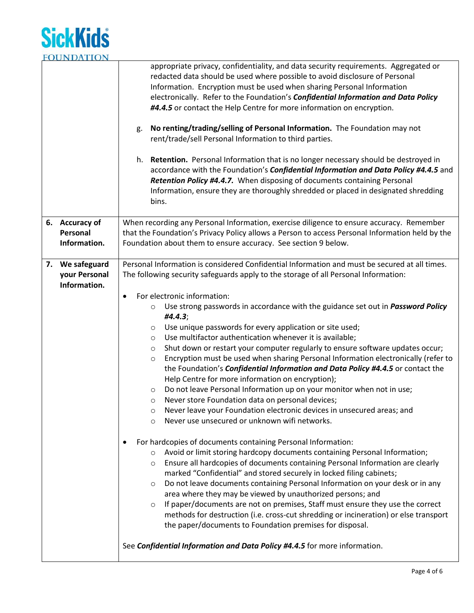

|                 | appropriate privacy, confidentiality, and data security requirements. Aggregated or<br>redacted data should be used where possible to avoid disclosure of Personal<br>Information. Encryption must be used when sharing Personal Information<br>electronically. Refer to the Foundation's Confidential Information and Data Policy<br>#4.4.5 or contact the Help Centre for more information on encryption.<br>No renting/trading/selling of Personal Information. The Foundation may not<br>g.<br>rent/trade/sell Personal Information to third parties.<br>h. Retention. Personal Information that is no longer necessary should be destroyed in<br>accordance with the Foundation's Confidential Information and Data Policy #4.4.5 and<br>Retention Policy #4.4.7. When disposing of documents containing Personal<br>Information, ensure they are thoroughly shredded or placed in designated shredding<br>bins. |
|-----------------|-----------------------------------------------------------------------------------------------------------------------------------------------------------------------------------------------------------------------------------------------------------------------------------------------------------------------------------------------------------------------------------------------------------------------------------------------------------------------------------------------------------------------------------------------------------------------------------------------------------------------------------------------------------------------------------------------------------------------------------------------------------------------------------------------------------------------------------------------------------------------------------------------------------------------|
| 6. Accuracy of  | When recording any Personal Information, exercise diligence to ensure accuracy. Remember                                                                                                                                                                                                                                                                                                                                                                                                                                                                                                                                                                                                                                                                                                                                                                                                                              |
| Personal        | that the Foundation's Privacy Policy allows a Person to access Personal Information held by the                                                                                                                                                                                                                                                                                                                                                                                                                                                                                                                                                                                                                                                                                                                                                                                                                       |
| Information.    | Foundation about them to ensure accuracy. See section 9 below.                                                                                                                                                                                                                                                                                                                                                                                                                                                                                                                                                                                                                                                                                                                                                                                                                                                        |
|                 |                                                                                                                                                                                                                                                                                                                                                                                                                                                                                                                                                                                                                                                                                                                                                                                                                                                                                                                       |
| 7. We safeguard | Personal Information is considered Confidential Information and must be secured at all times.                                                                                                                                                                                                                                                                                                                                                                                                                                                                                                                                                                                                                                                                                                                                                                                                                         |
| your Personal   | The following security safeguards apply to the storage of all Personal Information:                                                                                                                                                                                                                                                                                                                                                                                                                                                                                                                                                                                                                                                                                                                                                                                                                                   |
| Information.    |                                                                                                                                                                                                                                                                                                                                                                                                                                                                                                                                                                                                                                                                                                                                                                                                                                                                                                                       |
|                 | For electronic information:<br>$\bullet$                                                                                                                                                                                                                                                                                                                                                                                                                                                                                                                                                                                                                                                                                                                                                                                                                                                                              |
|                 | Use strong passwords in accordance with the guidance set out in <i>Password Policy</i><br>$\circ$<br>#4.4.3;                                                                                                                                                                                                                                                                                                                                                                                                                                                                                                                                                                                                                                                                                                                                                                                                          |
|                 | Use unique passwords for every application or site used;<br>$\circ$                                                                                                                                                                                                                                                                                                                                                                                                                                                                                                                                                                                                                                                                                                                                                                                                                                                   |
|                 | Use multifactor authentication whenever it is available;<br>$\circ$                                                                                                                                                                                                                                                                                                                                                                                                                                                                                                                                                                                                                                                                                                                                                                                                                                                   |
|                 | Shut down or restart your computer regularly to ensure software updates occur;<br>O                                                                                                                                                                                                                                                                                                                                                                                                                                                                                                                                                                                                                                                                                                                                                                                                                                   |
|                 | Encryption must be used when sharing Personal Information electronically (refer to<br>$\circ$                                                                                                                                                                                                                                                                                                                                                                                                                                                                                                                                                                                                                                                                                                                                                                                                                         |
|                 | the Foundation's Confidential Information and Data Policy #4.4.5 or contact the                                                                                                                                                                                                                                                                                                                                                                                                                                                                                                                                                                                                                                                                                                                                                                                                                                       |
|                 | Help Centre for more information on encryption);                                                                                                                                                                                                                                                                                                                                                                                                                                                                                                                                                                                                                                                                                                                                                                                                                                                                      |
|                 | Do not leave Personal Information up on your monitor when not in use;<br>$\circ$                                                                                                                                                                                                                                                                                                                                                                                                                                                                                                                                                                                                                                                                                                                                                                                                                                      |
|                 | Never store Foundation data on personal devices;<br>$\circ$                                                                                                                                                                                                                                                                                                                                                                                                                                                                                                                                                                                                                                                                                                                                                                                                                                                           |
|                 | Never leave your Foundation electronic devices in unsecured areas; and<br>O                                                                                                                                                                                                                                                                                                                                                                                                                                                                                                                                                                                                                                                                                                                                                                                                                                           |
|                 | Never use unsecured or unknown wifi networks.<br>$\circ$                                                                                                                                                                                                                                                                                                                                                                                                                                                                                                                                                                                                                                                                                                                                                                                                                                                              |
|                 |                                                                                                                                                                                                                                                                                                                                                                                                                                                                                                                                                                                                                                                                                                                                                                                                                                                                                                                       |
|                 | For hardcopies of documents containing Personal Information:                                                                                                                                                                                                                                                                                                                                                                                                                                                                                                                                                                                                                                                                                                                                                                                                                                                          |
|                 | Avoid or limit storing hardcopy documents containing Personal Information;<br>$\circ$<br>Ensure all hardcopies of documents containing Personal Information are clearly                                                                                                                                                                                                                                                                                                                                                                                                                                                                                                                                                                                                                                                                                                                                               |
|                 | $\circ$<br>marked "Confidential" and stored securely in locked filing cabinets;                                                                                                                                                                                                                                                                                                                                                                                                                                                                                                                                                                                                                                                                                                                                                                                                                                       |
|                 | Do not leave documents containing Personal Information on your desk or in any<br>$\circ$                                                                                                                                                                                                                                                                                                                                                                                                                                                                                                                                                                                                                                                                                                                                                                                                                              |
|                 | area where they may be viewed by unauthorized persons; and                                                                                                                                                                                                                                                                                                                                                                                                                                                                                                                                                                                                                                                                                                                                                                                                                                                            |
|                 | If paper/documents are not on premises, Staff must ensure they use the correct<br>$\circ$                                                                                                                                                                                                                                                                                                                                                                                                                                                                                                                                                                                                                                                                                                                                                                                                                             |
|                 | methods for destruction (i.e. cross-cut shredding or incineration) or else transport                                                                                                                                                                                                                                                                                                                                                                                                                                                                                                                                                                                                                                                                                                                                                                                                                                  |
|                 | the paper/documents to Foundation premises for disposal.                                                                                                                                                                                                                                                                                                                                                                                                                                                                                                                                                                                                                                                                                                                                                                                                                                                              |
|                 | See Confidential Information and Data Policy #4.4.5 for more information.                                                                                                                                                                                                                                                                                                                                                                                                                                                                                                                                                                                                                                                                                                                                                                                                                                             |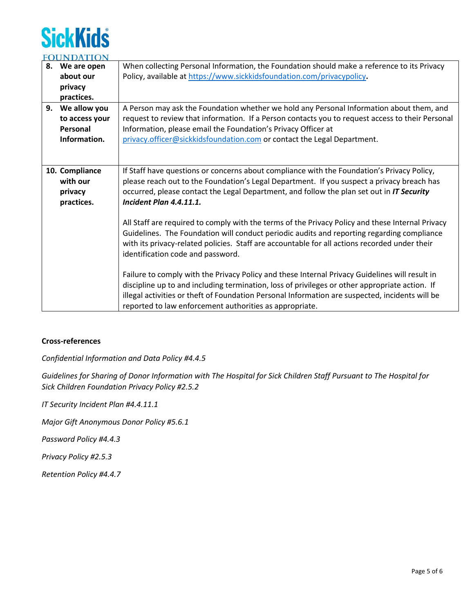# **SickKids**

|    | FUUNDATION     |                                                                                                  |  |
|----|----------------|--------------------------------------------------------------------------------------------------|--|
| 8. | We are open    | When collecting Personal Information, the Foundation should make a reference to its Privacy      |  |
|    | about our      | Policy, available at https://www.sickkidsfoundation.com/privacypolicy.                           |  |
|    | privacy        |                                                                                                  |  |
|    | practices.     |                                                                                                  |  |
| 9. | We allow you   | A Person may ask the Foundation whether we hold any Personal Information about them, and         |  |
|    | to access your | request to review that information. If a Person contacts you to request access to their Personal |  |
|    | Personal       | Information, please email the Foundation's Privacy Officer at                                    |  |
|    | Information.   | privacy.officer@sickkidsfoundation.com or contact the Legal Department.                          |  |
|    |                |                                                                                                  |  |
|    |                |                                                                                                  |  |
|    | 10. Compliance | If Staff have questions or concerns about compliance with the Foundation's Privacy Policy,       |  |
|    | with our       | please reach out to the Foundation's Legal Department. If you suspect a privacy breach has       |  |
|    | privacy        | occurred, please contact the Legal Department, and follow the plan set out in IT Security        |  |
|    | practices.     | <b>Incident Plan 4.4.11.1.</b>                                                                   |  |
|    |                |                                                                                                  |  |
|    |                | All Staff are required to comply with the terms of the Privacy Policy and these Internal Privacy |  |
|    |                | Guidelines. The Foundation will conduct periodic audits and reporting regarding compliance       |  |
|    |                | with its privacy-related policies. Staff are accountable for all actions recorded under their    |  |
|    |                | identification code and password.                                                                |  |
|    |                |                                                                                                  |  |
|    |                | Failure to comply with the Privacy Policy and these Internal Privacy Guidelines will result in   |  |
|    |                | discipline up to and including termination, loss of privileges or other appropriate action. If   |  |
|    |                | illegal activities or theft of Foundation Personal Information are suspected, incidents will be  |  |
|    |                | reported to law enforcement authorities as appropriate.                                          |  |
|    |                |                                                                                                  |  |

## **Cross-references**

*Confidential Information and Data Policy #4.4.5*

*Guidelines for Sharing of Donor Information with The Hospital for Sick Children Staff Pursuant to The Hospital for Sick Children Foundation Privacy Policy #2.5.2*

*IT Security Incident Plan #4.4.11.1*

*Major Gift Anonymous Donor Policy #5.6.1*

*Password Policy #4.4.3*

*Privacy Policy #2.5.3*

*Retention Policy #4.4.7*